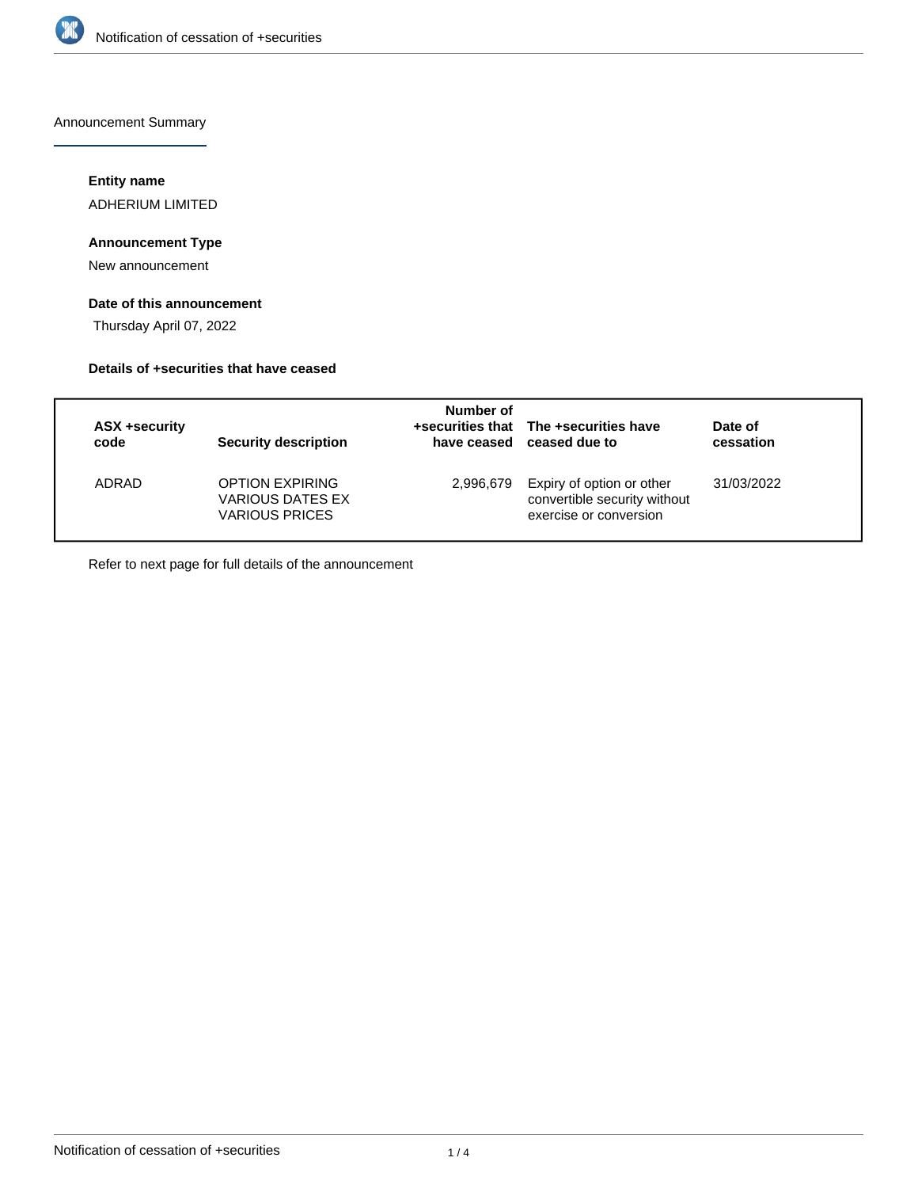

Announcement Summary

# **Entity name**

ADHERIUM LIMITED

# **Announcement Type**

New announcement

# **Date of this announcement**

Thursday April 07, 2022

## **Details of +securities that have ceased**

| <b>ASX +security</b><br>code | Security description                                                | Number of | +securities that The +securities have<br>have ceased ceased due to                  | Date of<br>cessation |
|------------------------------|---------------------------------------------------------------------|-----------|-------------------------------------------------------------------------------------|----------------------|
| ADRAD                        | <b>OPTION EXPIRING</b><br>VARIOUS DATES EX<br><b>VARIOUS PRICES</b> | 2,996,679 | Expiry of option or other<br>convertible security without<br>exercise or conversion | 31/03/2022           |

Refer to next page for full details of the announcement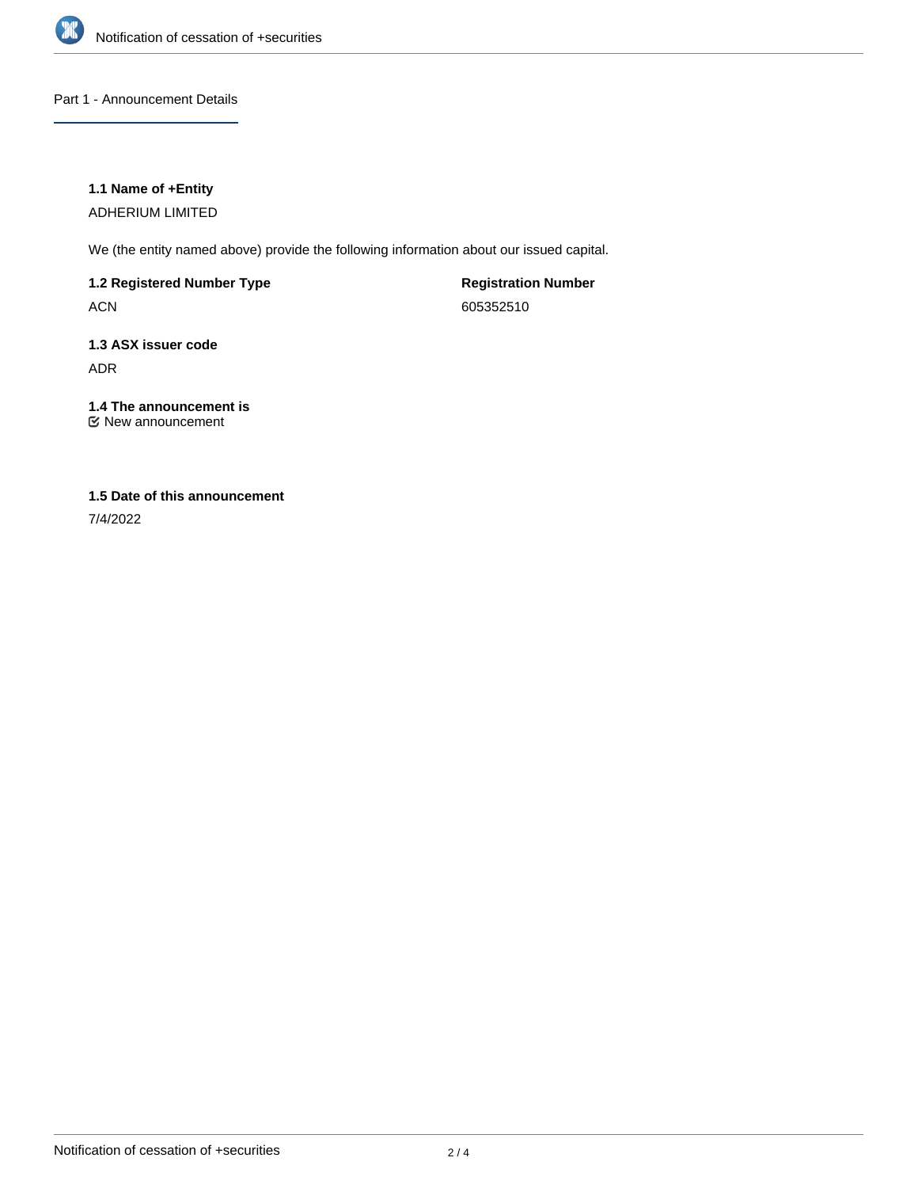

## Part 1 - Announcement Details

## **1.1 Name of +Entity**

ADHERIUM LIMITED

We (the entity named above) provide the following information about our issued capital.

**1.2 Registered Number Type**

ACN

**Registration Number** 605352510

# **1.3 ASX issuer code** ADR

# **1.4 The announcement is**

New announcement

# **1.5 Date of this announcement**

7/4/2022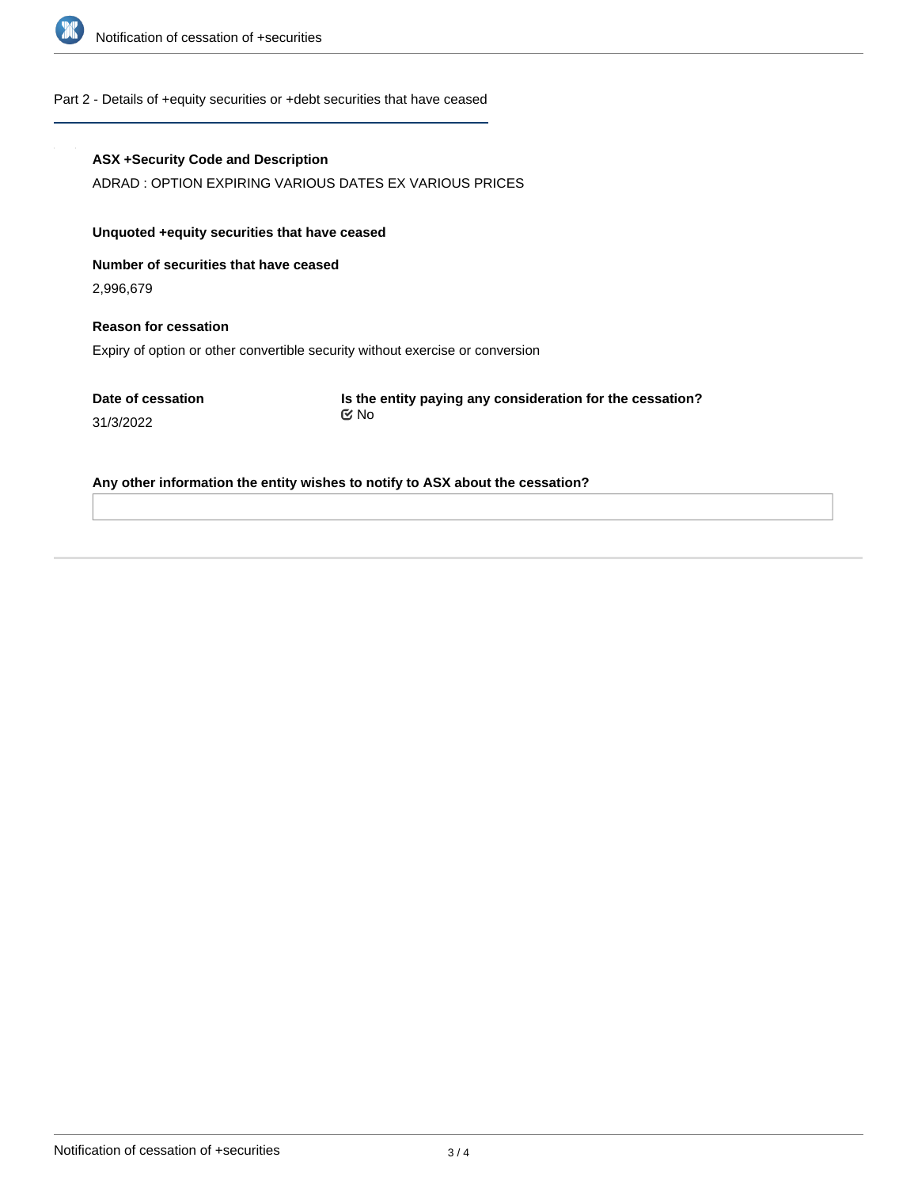

#### Part 2 - Details of +equity securities or +debt securities that have ceased

#### **ASX +Security Code and Description**

ADRAD : OPTION EXPIRING VARIOUS DATES EX VARIOUS PRICES

# **Unquoted +equity securities that have ceased**

**Number of securities that have ceased**

2,996,679

31/3/2022

# **Reason for cessation** Expiry of option or other convertible security without exercise or conversion

**Date of cessation**

**Is the entity paying any consideration for the cessation?** No

#### **Any other information the entity wishes to notify to ASX about the cessation?**